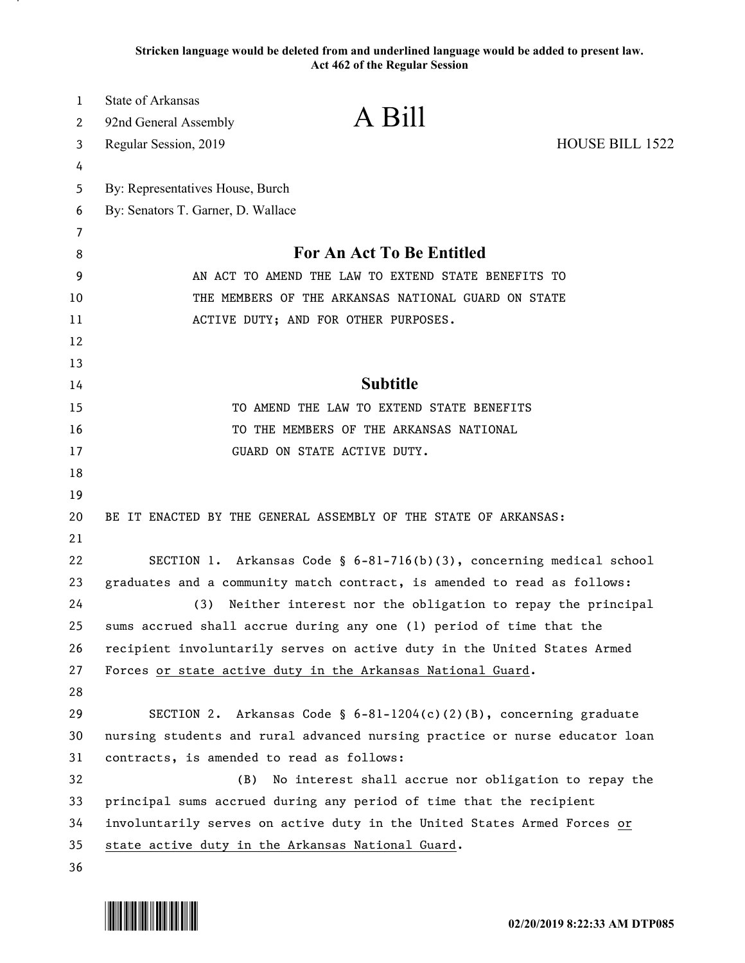**Stricken language would be deleted from and underlined language would be added to present law. Act 462 of the Regular Session**

| 1        | <b>State of Arkansas</b>                  |                                                                             |                 |
|----------|-------------------------------------------|-----------------------------------------------------------------------------|-----------------|
| 2        | 92nd General Assembly                     | A Bill                                                                      |                 |
| 3        | Regular Session, 2019                     |                                                                             | HOUSE BILL 1522 |
| 4        |                                           |                                                                             |                 |
| 5        | By: Representatives House, Burch          |                                                                             |                 |
| 6        | By: Senators T. Garner, D. Wallace        |                                                                             |                 |
| 7        |                                           |                                                                             |                 |
| 8        |                                           | For An Act To Be Entitled                                                   |                 |
| 9        |                                           | AN ACT TO AMEND THE LAW TO EXTEND STATE BENEFITS TO                         |                 |
| 10       |                                           | THE MEMBERS OF THE ARKANSAS NATIONAL GUARD ON STATE                         |                 |
| 11       |                                           | ACTIVE DUTY; AND FOR OTHER PURPOSES.                                        |                 |
| 12       |                                           |                                                                             |                 |
| 13       |                                           |                                                                             |                 |
| 14       |                                           | <b>Subtitle</b>                                                             |                 |
| 15       |                                           | TO AMEND THE LAW TO EXTEND STATE BENEFITS                                   |                 |
| 16       |                                           | TO THE MEMBERS OF THE ARKANSAS NATIONAL                                     |                 |
| 17<br>18 |                                           | GUARD ON STATE ACTIVE DUTY.                                                 |                 |
| 19       |                                           |                                                                             |                 |
| 20       |                                           | BE IT ENACTED BY THE GENERAL ASSEMBLY OF THE STATE OF ARKANSAS:             |                 |
| 21       |                                           |                                                                             |                 |
| 22       |                                           | SECTION 1. Arkansas Code § 6-81-716(b)(3), concerning medical school        |                 |
| 23       |                                           | graduates and a community match contract, is amended to read as follows:    |                 |
| 24       | (3)                                       | Neither interest nor the obligation to repay the principal                  |                 |
| 25       |                                           | sums accrued shall accrue during any one (1) period of time that the        |                 |
| 26       |                                           | recipient involuntarily serves on active duty in the United States Armed    |                 |
| 27       |                                           | Forces or state active duty in the Arkansas National Guard.                 |                 |
| 28       |                                           |                                                                             |                 |
| 29       |                                           | SECTION 2. Arkansas Code § $6-81-1204(c)(2)(B)$ , concerning graduate       |                 |
| 30       |                                           | nursing students and rural advanced nursing practice or nurse educator loan |                 |
| 31       | contracts, is amended to read as follows: |                                                                             |                 |
| 32       | (B)                                       | No interest shall accrue nor obligation to repay the                        |                 |
| 33       |                                           | principal sums accrued during any period of time that the recipient         |                 |
| 34       |                                           | involuntarily serves on active duty in the United States Armed Forces or    |                 |
| 35       |                                           | state active duty in the Arkansas National Guard.                           |                 |
| 36       |                                           |                                                                             |                 |

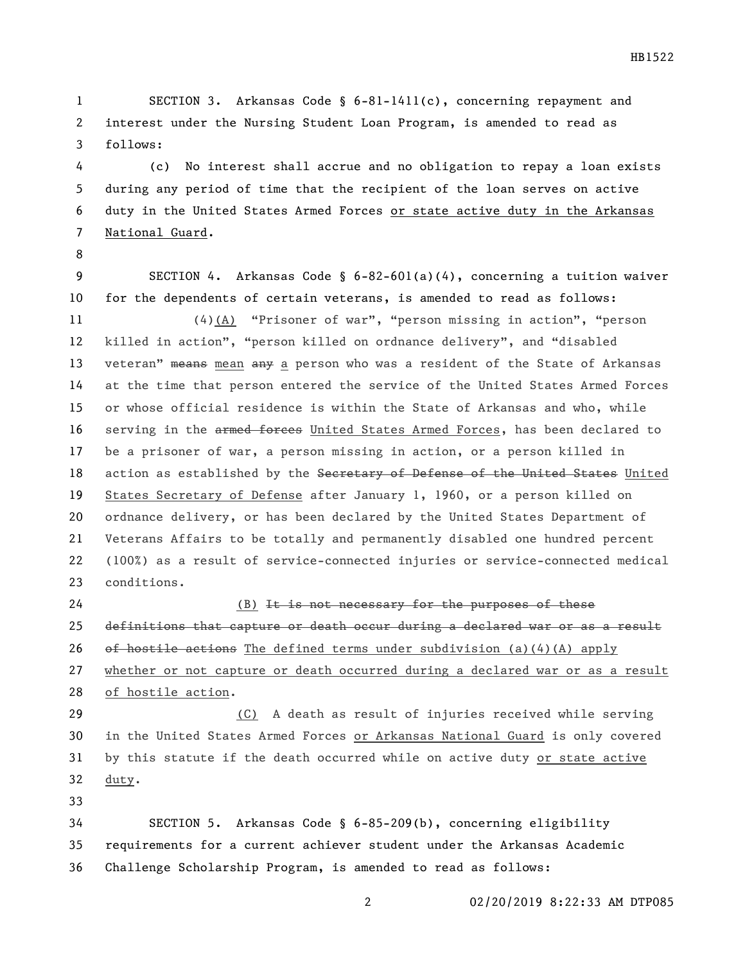SECTION 3. Arkansas Code § 6-81-1411(c), concerning repayment and interest under the Nursing Student Loan Program, is amended to read as follows:

 (c) No interest shall accrue and no obligation to repay a loan exists during any period of time that the recipient of the loan serves on active duty in the United States Armed Forces or state active duty in the Arkansas National Guard.

 SECTION 4. Arkansas Code § 6-82-601(a)(4), concerning a tuition waiver for the dependents of certain veterans, is amended to read as follows: (4)(A) "Prisoner of war", "person missing in action", "person killed in action", "person killed on ordnance delivery", and "disabled 13 veteran" means mean any a person who was a resident of the State of Arkansas at the time that person entered the service of the United States Armed Forces or whose official residence is within the State of Arkansas and who, while 16 serving in the armed forces United States Armed Forces, has been declared to be a prisoner of war, a person missing in action, or a person killed in 18 action as established by the Secretary of Defense of the United States United States Secretary of Defense after January 1, 1960, or a person killed on ordnance delivery, or has been declared by the United States Department of Veterans Affairs to be totally and permanently disabled one hundred percent (100%) as a result of service-connected injuries or service-connected medical conditions.

24 (B) It is not necessary for the purposes of these definitions that capture or death occur during a declared war or as a result 26 of hostile actions The defined terms under subdivision (a)(4)(A) apply whether or not capture or death occurred during a declared war or as a result of hostile action.

 (C) A death as result of injuries received while serving in the United States Armed Forces or Arkansas National Guard is only covered by this statute if the death occurred while on active duty or state active duty.

 SECTION 5. Arkansas Code § 6-85-209(b), concerning eligibility requirements for a current achiever student under the Arkansas Academic Challenge Scholarship Program, is amended to read as follows: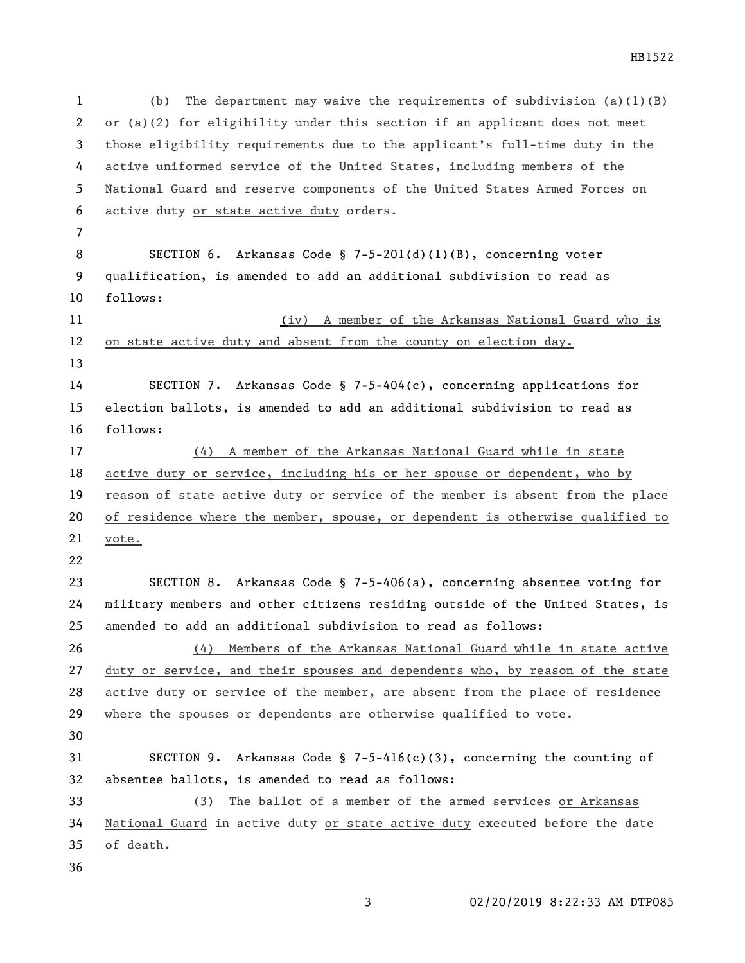(b) The department may waive the requirements of subdivision (a)(1)(B) or (a)(2) for eligibility under this section if an applicant does not meet those eligibility requirements due to the applicant's full-time duty in the active uniformed service of the United States, including members of the National Guard and reserve components of the United States Armed Forces on active duty or state active duty orders. SECTION 6. Arkansas Code § 7-5-201(d)(1)(B), concerning voter qualification, is amended to add an additional subdivision to read as follows: (iv) A member of the Arkansas National Guard who is on state active duty and absent from the county on election day. SECTION 7. Arkansas Code § 7-5-404(c), concerning applications for election ballots, is amended to add an additional subdivision to read as follows: (4) A member of the Arkansas National Guard while in state active duty or service, including his or her spouse or dependent, who by reason of state active duty or service of the member is absent from the place of residence where the member, spouse, or dependent is otherwise qualified to vote. SECTION 8. Arkansas Code § 7-5-406(a), concerning absentee voting for military members and other citizens residing outside of the United States, is amended to add an additional subdivision to read as follows: (4) Members of the Arkansas National Guard while in state active duty or service, and their spouses and dependents who, by reason of the state active duty or service of the member, are absent from the place of residence where the spouses or dependents are otherwise qualified to vote. SECTION 9. Arkansas Code § 7-5-416(c)(3), concerning the counting of absentee ballots, is amended to read as follows: (3) The ballot of a member of the armed services or Arkansas National Guard in active duty or state active duty executed before the date of death.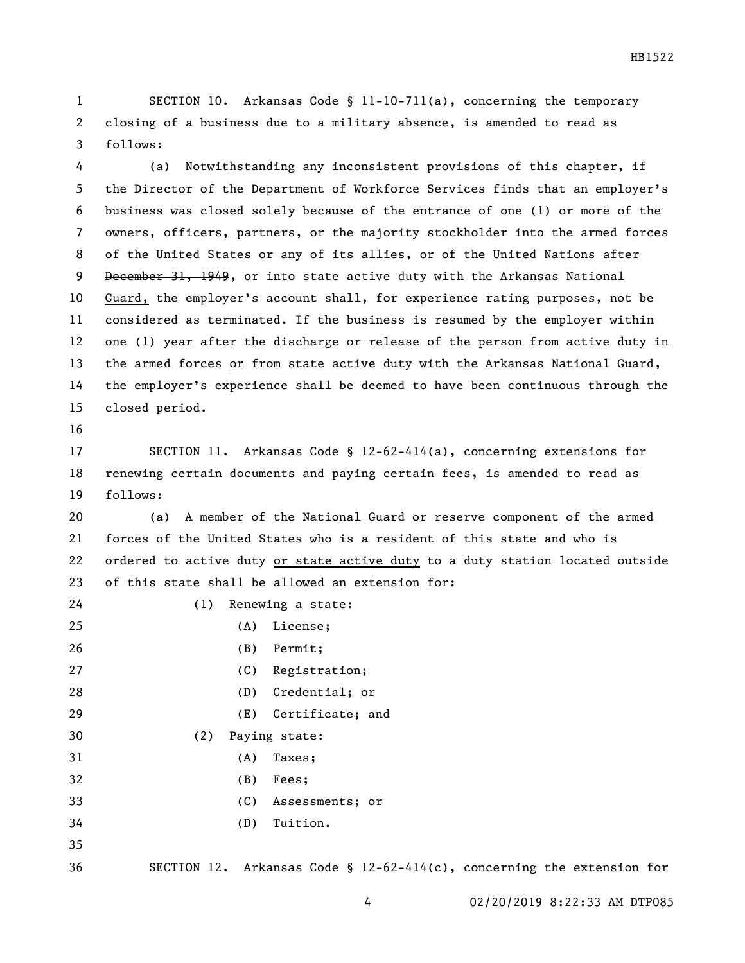SECTION 10. Arkansas Code § 11-10-711(a), concerning the temporary closing of a business due to a military absence, is amended to read as follows:

 (a) Notwithstanding any inconsistent provisions of this chapter, if the Director of the Department of Workforce Services finds that an employer's business was closed solely because of the entrance of one (1) or more of the owners, officers, partners, or the majority stockholder into the armed forces 8 of the United States or any of its allies, or of the United Nations after 9 December 31, 1949, or into state active duty with the Arkansas National Guard, the employer's account shall, for experience rating purposes, not be considered as terminated. If the business is resumed by the employer within one (1) year after the discharge or release of the person from active duty in 13 the armed forces or from state active duty with the Arkansas National Guard, the employer's experience shall be deemed to have been continuous through the closed period.

 SECTION 11. Arkansas Code § 12-62-414(a), concerning extensions for renewing certain documents and paying certain fees, is amended to read as follows:

 (a) A member of the National Guard or reserve component of the armed forces of the United States who is a resident of this state and who is ordered to active duty or state active duty to a duty station located outside of this state shall be allowed an extension for:

| 24 | (1) | Renewing a state: |                                                                        |
|----|-----|-------------------|------------------------------------------------------------------------|
| 25 |     | (A)               | License;                                                               |
| 26 |     | (B)               | Permit;                                                                |
| 27 |     |                   | (C) Registration;                                                      |
| 28 |     | (D)               | Credential; or                                                         |
| 29 |     |                   | (E) Certificate; and                                                   |
| 30 | (2) |                   | Paying state:                                                          |
| 31 |     | (A)               | Taxes;                                                                 |
| 32 |     | (B)               | Fees;                                                                  |
| 33 |     | (C)               | Assessments; or                                                        |
| 34 |     | (D)               | Tuition.                                                               |
| 35 |     |                   |                                                                        |
| 36 |     |                   | SECTION 12. Arkansas Code § 12-62-414(c), concerning the extension for |
|    |     |                   |                                                                        |

02/20/2019 8:22:33 AM DTP085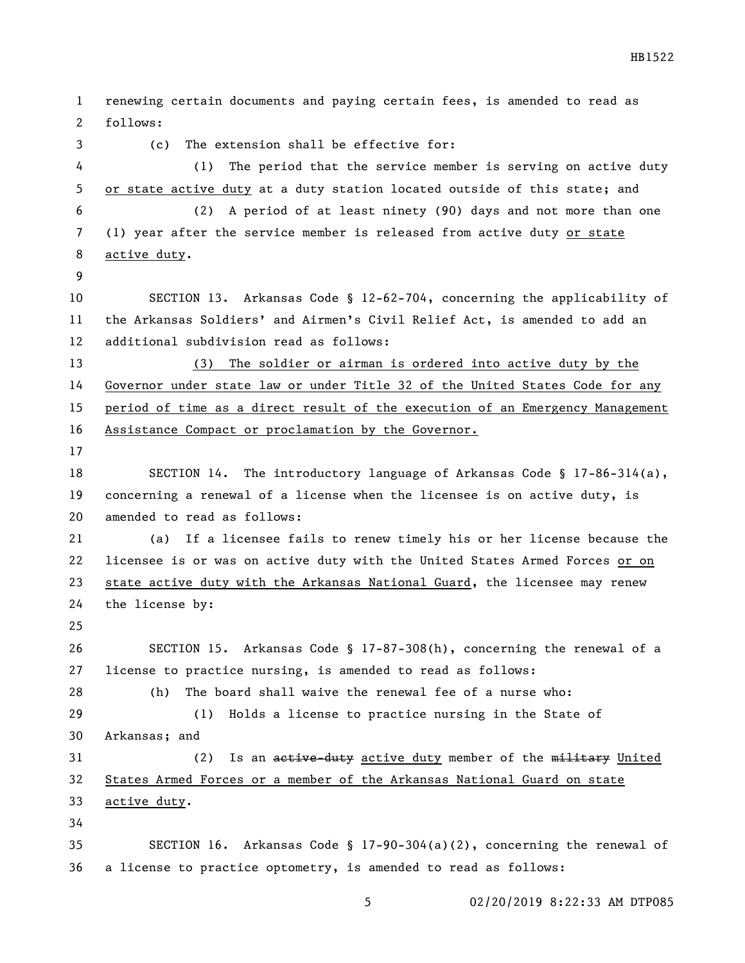renewing certain documents and paying certain fees, is amended to read as follows: (c) The extension shall be effective for: (1) The period that the service member is serving on active duty or state active duty at a duty station located outside of this state; and (2) A period of at least ninety (90) days and not more than one (1) year after the service member is released from active duty or state active duty. SECTION 13. Arkansas Code § 12-62-704, concerning the applicability of the Arkansas Soldiers' and Airmen's Civil Relief Act, is amended to add an additional subdivision read as follows: (3) The soldier or airman is ordered into active duty by the Governor under state law or under Title 32 of the United States Code for any period of time as a direct result of the execution of an Emergency Management Assistance Compact or proclamation by the Governor. SECTION 14. The introductory language of Arkansas Code § 17-86-314(a), concerning a renewal of a license when the licensee is on active duty, is amended to read as follows: (a) If a licensee fails to renew timely his or her license because the licensee is or was on active duty with the United States Armed Forces or on state active duty with the Arkansas National Guard, the licensee may renew the license by: SECTION 15. Arkansas Code § 17-87-308(h), concerning the renewal of a license to practice nursing, is amended to read as follows: (h) The board shall waive the renewal fee of a nurse who: (1) Holds a license to practice nursing in the State of Arkansas; and 31 (2) Is an active-duty active duty member of the military United States Armed Forces or a member of the Arkansas National Guard on state active duty. SECTION 16. Arkansas Code § 17-90-304(a)(2), concerning the renewal of a license to practice optometry, is amended to read as follows:

HB1522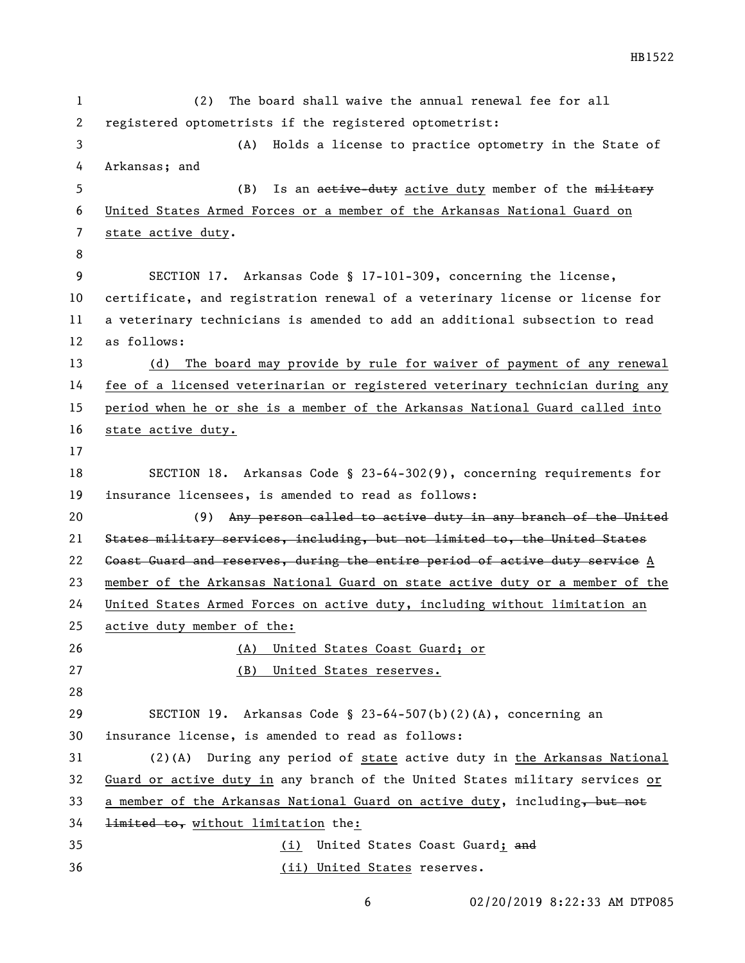(2) The board shall waive the annual renewal fee for all registered optometrists if the registered optometrist: (A) Holds a license to practice optometry in the State of Arkansas; and 5 (B) Is an active-duty active duty member of the military United States Armed Forces or a member of the Arkansas National Guard on state active duty. SECTION 17. Arkansas Code § 17-101-309, concerning the license, certificate, and registration renewal of a veterinary license or license for a veterinary technicians is amended to add an additional subsection to read as follows: (d) The board may provide by rule for waiver of payment of any renewal fee of a licensed veterinarian or registered veterinary technician during any period when he or she is a member of the Arkansas National Guard called into state active duty. SECTION 18. Arkansas Code § 23-64-302(9), concerning requirements for insurance licensees, is amended to read as follows: (9) Any person called to active duty in any branch of the United States military services, including, but not limited to, the United States 22 Goast Guard and reserves, during the entire period of active duty service A member of the Arkansas National Guard on state active duty or a member of the United States Armed Forces on active duty, including without limitation an active duty member of the: (A) United States Coast Guard; or (B) United States reserves. SECTION 19. Arkansas Code § 23-64-507(b)(2)(A), concerning an insurance license, is amended to read as follows: (2)(A) During any period of state active duty in the Arkansas National Guard or active duty in any branch of the United States military services or 33 a member of the Arkansas National Guard on active duty, including, but not limited to, without limitation the: 35 (i) United States Coast Guard; and

- (ii) United States reserves.
	-